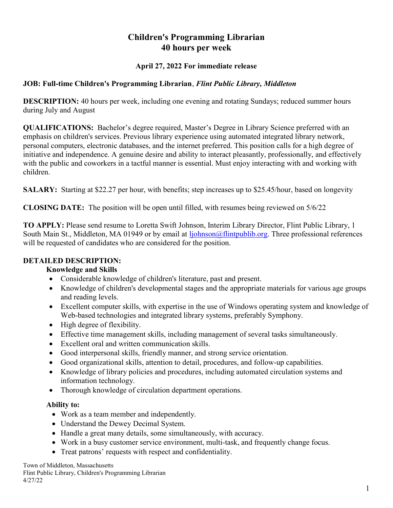# Children's Programming Librarian 40 hours per week

#### April 27, 2022 For immediate release

#### JOB: Full-time Children's Programming Librarian, Flint Public Library, Middleton

DESCRIPTION: 40 hours per week, including one evening and rotating Sundays; reduced summer hours during July and August

QUALIFICATIONS: Bachelor's degree required, Master's Degree in Library Science preferred with an emphasis on children's services. Previous library experience using automated integrated library network, personal computers, electronic databases, and the internet preferred. This position calls for a high degree of initiative and independence. A genuine desire and ability to interact pleasantly, professionally, and effectively with the public and coworkers in a tactful manner is essential. Must enjoy interacting with and working with children.

SALARY: Starting at \$22.27 per hour, with benefits; step increases up to \$25.45/hour, based on longevity

CLOSING DATE: The position will be open until filled, with resumes being reviewed on 5/6/22

TO APPLY: Please send resume to Loretta Swift Johnson, Interim Library Director, Flint Public Library, 1 South Main St., Middleton, MA 01949 or by email at ljohnson@flintpublib.org. Three professional references will be requested of candidates who are considered for the position.

#### DETAILED DESCRIPTION:

#### Knowledge and Skills

- Considerable knowledge of children's literature, past and present.
- Knowledge of children's developmental stages and the appropriate materials for various age groups and reading levels.
- Excellent computer skills, with expertise in the use of Windows operating system and knowledge of Web-based technologies and integrated library systems, preferably Symphony.
- High degree of flexibility.
- Effective time management skills, including management of several tasks simultaneously.
- Excellent oral and written communication skills.
- Good interpersonal skills, friendly manner, and strong service orientation.
- Good organizational skills, attention to detail, procedures, and follow-up capabilities.
- Knowledge of library policies and procedures, including automated circulation systems and information technology.
- Thorough knowledge of circulation department operations.

#### Ability to:

- Work as a team member and independently.
- Understand the Dewey Decimal System.
- Handle a great many details, some simultaneously, with accuracy.
- Work in a busy customer service environment, multi-task, and frequently change focus.
- Treat patrons' requests with respect and confidentiality.

Town of Middleton, Massachusetts Flint Public Library, Children's Programming Librarian 4/27/22